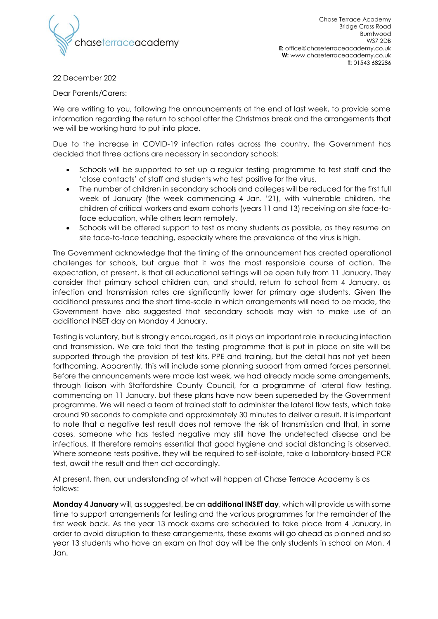

Chase Terrace Academy Bridge Cross Road Burntwood WS7 2DB **E:** office@chaseterraceacademy.co.uk **W:** www.chaseterraceacademy.co.uk **T:** 01543 682286

22 December 202

Dear Parents/Carers:

We are writing to you, following the announcements at the end of last week, to provide some information regarding the return to school after the Christmas break and the arrangements that we will be working hard to put into place.

Due to the increase in COVID-19 infection rates across the country, the Government has decided that three actions are necessary in secondary schools:

- Schools will be supported to set up a regular testing programme to test staff and the 'close contacts' of staff and students who test positive for the virus.
- The number of children in secondary schools and colleges will be reduced for the first full week of January (the week commencing 4 Jan. '21), with vulnerable children, the children of critical workers and exam cohorts (years 11 and 13) receiving on site face-toface education, while others learn remotely.
- Schools will be offered support to test as many students as possible, as they resume on site face-to-face teaching, especially where the prevalence of the virus is high.

The Government acknowledge that the timing of the announcement has created operational challenges for schools, but argue that it was the most responsible course of action. The expectation, at present, is that all educational settings will be open fully from 11 January. They consider that primary school children can, and should, return to school from 4 January, as infection and transmission rates are significantly lower for primary age students. Given the additional pressures and the short time-scale in which arrangements will need to be made, the Government have also suggested that secondary schools may wish to make use of an additional INSET day on Monday 4 January.

Testing is voluntary, but is strongly encouraged, as it plays an important role in reducing infection and transmission. We are told that the testing programme that is put in place on site will be supported through the provision of test kits, PPE and training, but the detail has not yet been forthcoming. Apparently, this will include some planning support from armed forces personnel. Before the announcements were made last week, we had already made some arrangements, through liaison with Staffordshire County Council, for a programme of lateral flow testing, commencing on 11 January, but these plans have now been superseded by the Government programme. We will need a team of trained staff to administer the lateral flow tests, which take around 90 seconds to complete and approximately 30 minutes to deliver a result. It is important to note that a negative test result does not remove the risk of transmission and that, in some cases, someone who has tested negative may still have the undetected disease and be infectious. It therefore remains essential that good hygiene and social distancing is observed. Where someone tests positive, they will be required to self-isolate, take a laboratory-based PCR test, await the result and then act accordingly.

At present, then, our understanding of what will happen at Chase Terrace Academy is as follows:

**Monday 4 January** will, as suggested, be an **additional INSET day**, which will provide us with some time to support arrangements for testing and the various programmes for the remainder of the first week back. As the year 13 mock exams are scheduled to take place from 4 January, in order to avoid disruption to these arrangements, these exams will go ahead as planned and so year 13 students who have an exam on that day will be the only students in school on Mon. 4 Jan.